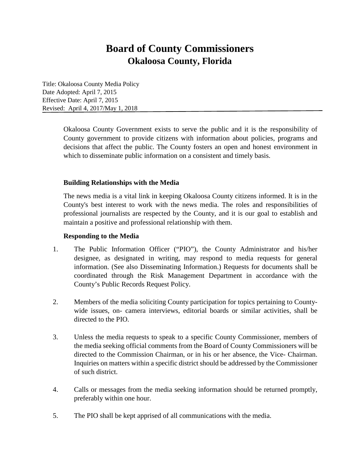# **Board of County Commissioners Okaloosa County, Florida**

Title: Okaloosa County Media Policy Date Adopted: April 7, 2015 Effective Date: April 7, 2015 Revised: April 4, 2017/May 1, 2018

> Okaloosa County Government exists to serve the public and it is the responsibility of County government to provide citizens with information about policies, programs and decisions that affect the public. The County fosters an open and honest environment in which to disseminate public information on a consistent and timely basis.

## **Building Relationships with the Media**

The news media is a vital link in keeping Okaloosa County citizens informed. It is in the County's best interest to work with the news media. The roles and responsibilities of professional journalists are respected by the County, and it is our goal to establish and maintain a positive and professional relationship with them.

#### **Responding to the Media**

- 1. The Public Information Officer ("PIO"), the County Administrator and his/her designee, as designated in writing, may respond to media requests for general information. (See also Disseminating Information.) Requests for documents shall be coordinated through the Risk Management Department in accordance with the County's Public Records Request Policy.
- 2. Members of the media soliciting County participation for topics pertaining to Countywide issues, on- camera interviews, editorial boards or similar activities, shall be directed to the PIO.
- 3. Unless the media requests to speak to a specific County Commissioner, members of the media seeking official comments from the Board of County Commissioners will be directed to the Commission Chairman, or in his or her absence, the Vice- Chairman. Inquiries on matters within a specific district should be addressed by the Commissioner of such district.
- 4. Calls or messages from the media seeking information should be returned promptly, preferably within one hour.
- 5. The PIO shall be kept apprised of all communications with the media.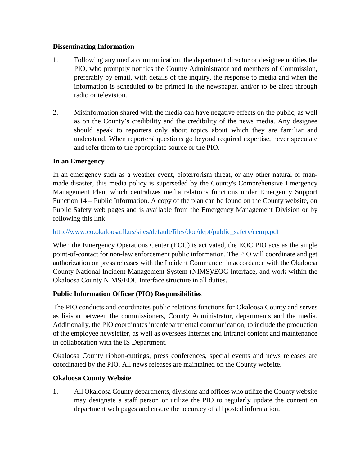## **Disseminating Information**

- 1. Following any media communication, the department director or designee notifies the PIO, who promptly notifies the County Administrator and members of Commission, preferably by email, with details of the inquiry, the response to media and when the information is scheduled to be printed in the newspaper, and/or to be aired through radio or television.
- 2. Misinformation shared with the media can have negative effects on the public, as well as on the County's credibility and the credibility of the news media. Any designee should speak to reporters only about topics about which they are familiar and understand. When reporters' questions go beyond required expertise, never speculate and refer them to the appropriate source or the PIO.

# **In an Emergency**

In an emergency such as a weather event, bioterrorism threat, or any other natural or manmade disaster, this media policy is superseded by the County's Comprehensive Emergency Management Plan, which centralizes media relations functions under Emergency Support Function 14 – Public Information. A copy of the plan can be found on the County website, on Public Safety web pages and is available from the Emergency Management Division or by following this link:

#### [http://www.co.okaloosa.fl.us/sites/default/files/doc/dept/public\\_safety/cemp.pdf](http://www.co.okaloosa.fl.us/sites/default/files/doc/dept/public_safety/cemp.pdf)

When the Emergency Operations Center (EOC) is activated, the EOC PIO acts as the single point-of-contact for non-law enforcement public information. The PIO will coordinate and get authorization on press releases with the Incident Commander in accordance with the Okaloosa County National Incident Management System (NIMS)/EOC Interface, and work within the Okaloosa County NIMS/EOC Interface structure in all duties.

# **Public Information Officer (PIO) Responsibilities**

The PIO conducts and coordinates public relations functions for Okaloosa County and serves as liaison between the commissioners, County Administrator, departments and the media. Additionally, the PIO coordinates interdepartmental communication, to include the production of the employee newsletter, as well as oversees Internet and Intranet content and maintenance in collaboration with the IS Department.

Okaloosa County ribbon-cuttings, press conferences, special events and news releases are coordinated by the PIO. All news releases are maintained on the County website.

# **Okaloosa County Website**

1. All Okaloosa County departments, divisions and offices who utilize the County website may designate a staff person or utilize the PIO to regularly update the content on department web pages and ensure the accuracy of all posted information.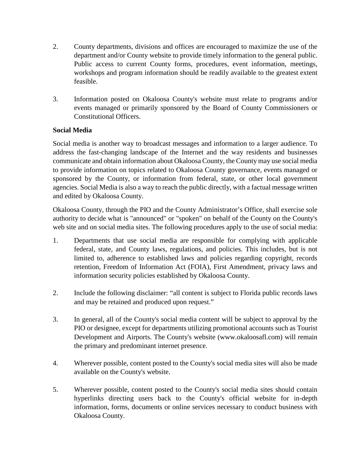- 2. County departments, divisions and offices are encouraged to maximize the use of the department and/or County website to provide timely information to the general public. Public access to current County forms, procedures, event information, meetings, workshops and program information should be readily available to the greatest extent feasible.
- 3. Information posted on Okaloosa County's website must relate to programs and/or events managed or primarily sponsored by the Board of County Commissioners or Constitutional Officers.

# **Social Media**

Social media is another way to broadcast messages and information to a larger audience. To address the fast-changing landscape of the Internet and the way residents and businesses communicate and obtain information about Okaloosa County, the County may use social media to provide information on topics related to Okaloosa County governance, events managed or sponsored by the County, or information from federal, state, or other local government agencies. Social Media is also a way to reach the public directly, with a factual message written and edited by Okaloosa County.

Okaloosa County, through the PIO and the County Administrator's Office, shall exercise sole authority to decide what is "announced" or "spoken" on behalf of the County on the County's web site and on social media sites. The following procedures apply to the use of social media:

- 1. Departments that use social media are responsible for complying with applicable federal, state, and County laws, regulations, and policies. This includes, but is not limited to, adherence to established laws and policies regarding copyright, records retention, Freedom of Information Act (FOIA), First Amendment, privacy laws and information security policies established by Okaloosa County.
- 2. Include the following disclaimer: "all content is subject to Florida public records laws and may be retained and produced upon request."
- 3. In general, all of the County's social media content will be subject to approval by the PIO or designee, except for departments utilizing promotional accounts such as Tourist Development and Airports. The County's website (www.okaloosafl.com) will remain the primary and predominant internet presence.
- 4. Wherever possible, content posted to the County's social media sites will also be made available on the County's website.
- 5. Wherever possible, content posted to the County's social media sites should contain hyperlinks directing users back to the County's official website for in-depth information, forms, documents or online services necessary to conduct business with Okaloosa County.